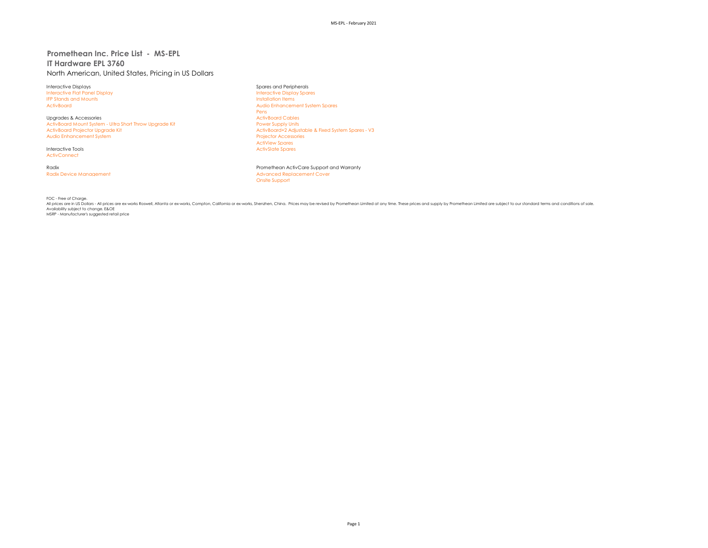## **Promethean Inc. Price List - MS-EPL IT Hardware EPL 3760** North American, United States, Pricing in US Dollars

Interactive Displays Spares and Peripherals Interactive Flat Panel Display IFP Stands and Mounts **Installation Items** 

Upgrades & Accessories and Ultra Short Throw Upgrade Kit and the Cables ActivBoard Cables ActivBoard Cables ActivBoard Cables ActivBoard Mount System - Ultra Short Throw Upgrade Kit and the Cables ActivBoard Mount System -ActivBoard Mount System - Ultra Short Throw Upgrade Kit<br>ActivBoard Proiector Uparade Kit Audio Enhancement System

**ActivConnect** 

ActivBoard Audio Enhancement System Spares Pens<br>ActivBoard Cables ActivBoard+2 Adjustable & Fixed System Spares - V3<br>Projector Accessories ActiView Spares Interactive Tools **ActivSlate Spares** ActivSlate Spares ActivSlate Spares

Radix Promethean ActivCare Support and Warranty Radix Device Management **Advanced Replacement Cover** Onsite Support

FOC - Free of Charge.

All prices are in US Dollars - All prices are ex-works Roswell, Atlanta or ex-works, Compton, California or ex-works, Shenzhen, China. Prices may be revised by Promethean Limited at any time. These prices and supply by Pro Availability subject to change. E&OE MSRP - Manufacturer's suggested retail price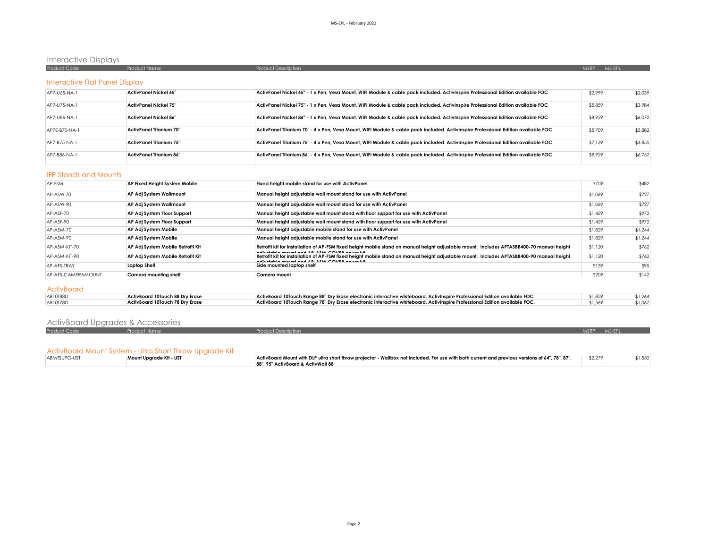# Interactive Displays

| <b>Product Code</b>            | Product Name          | <b>Product Description</b>                                                                                                      | <b>MSRP</b> | MS-EPL  |  |
|--------------------------------|-----------------------|---------------------------------------------------------------------------------------------------------------------------------|-------------|---------|--|
|                                |                       |                                                                                                                                 |             |         |  |
| Interactive Flat Panel Display |                       |                                                                                                                                 |             |         |  |
|                                |                       |                                                                                                                                 |             |         |  |
| AP7-U65-NA-1                   | ActivPanel Nickel 65" | ActivPanel Nickel 65" - 1 x Pen, Vesa Mount, WIFI Module & cable pack included. ActivInspire Professional Edition available FOC | \$2,999     | \$2,039 |  |
|                                |                       |                                                                                                                                 |             |         |  |

| AP7-U75-NA-1  | ActivPanel Nickel 75"   | ActivPanel Nickel 75" - 1 x Pen, Vesa Mount, WIFI Module & cable pack included. ActivInspire Professional Edition available FOC   | \$5,859 | \$3.984 |
|---------------|-------------------------|-----------------------------------------------------------------------------------------------------------------------------------|---------|---------|
| AP7-U86-NA-1  | ActivPanel Nickel 86"   | ActivPanel Nickel 86" - 1 x Pen, Vesa Mount, WIFI Module & cable pack included. ActivInspire Professional Edition available FOC   | \$8,929 | \$6,072 |
| AP7E-B70-NA-1 | ActivPanel Titanium 70" | ActivPanel Titanium 70" - 4 x Pen, Vesa Mount, WIFI Module & cable pack included. ActivInspire Professional Edition available FOC | \$5,709 | \$3,882 |
| AP7-B75-NA-1  | ActivPanel Titanium 75" | ActivPanel Titanium 75" - 4 x Pen, Vesa Mount, WIFI Module & cable pack included. ActivInspire Professional Edition available FOC | \$7,139 | \$4,855 |
| AP7-B86-NA-1  | ActivPanel Titanium 86" | ActivPanel Titanium 86" - 4 x Pen. Vesa Mount. WIFI Module & cable pack included. ActivInspire Professional Edition available FOC | \$9,929 | \$6,752 |

#### IFP Stands and Mounts

| AP-FSM             | AP Fixed Height System Mobile     | Fixed height mobile stand for use with ActivPanel                                                                                                                                           | \$709   | \$482   |
|--------------------|-----------------------------------|---------------------------------------------------------------------------------------------------------------------------------------------------------------------------------------------|---------|---------|
| AP-ASW-70          | AP Adj System Wallmount           | Manual height adjustable wall mount stand for use with ActivPanel                                                                                                                           | \$1,069 | \$727   |
| AP-ASW-90          | AP Adj System Wallmount           | Manual height adjustable wall mount stand for use with ActivPanel                                                                                                                           | \$1,069 | \$727   |
| AP-ASF-70          | AP Adj System Floor Support       | Manual height adjustable wall mount stand with floor support for use with ActivPanel                                                                                                        | \$1,429 | \$972   |
| AP-ASF-90          | AP Adj System Floor Support       | Manual height adjustable wall mount stand with floor support for use with ActivPanel                                                                                                        | \$1,429 | \$972   |
| AP-ASM-70          | AP Adj System Mobile              | Manual height adjustable mobile stand for use with ActivPanel                                                                                                                               | \$1,829 | \$1,244 |
| AP-ASM-90          | AP Adj System Mobile              | Manual height adjustable mobile stand for use with ActivPanel                                                                                                                               | \$1,829 | \$1,244 |
| AP-ASM-KIT-70      | AP Adj System Mobile Retrofit Kit | Retrofit kit for installation of AP-FSM fixed height mobile stand on manual height adjustable mount. Includes APTASBB400-70 manual height<br>editoriale matter and AB ACH COMER agreed bill | \$1,120 | \$762   |
| AP-ASM-KIT-90      | AP Adj System Mobile Retrofit Kit | Retrofit kit for installation of AP-FSM fixed height mobile stand on manual height adjustable mount. Includes APTASBB400-90 manual height<br>divided a mount and AB ASM COVER cover lift    | \$1,120 | \$762   |
| AP-AFS-TRAY        | <b>Laptop Shelf</b>               | Side mounted laptop shelf                                                                                                                                                                   | \$139   | \$95    |
| AP-AFS-CAMERAMOUNT | <b>Camera mounting shelf</b>      | Camera mount                                                                                                                                                                                | \$209   | \$142   |
| <b>ActivBoard</b>  |                                   |                                                                                                                                                                                             |         |         |
| AB10T88D           | ActivBoard 10Touch 88 Dry Erase   | ActivBoard 10Touch Range 88" Dry Erase electronic interactive whiteboard. ActivInspire Professional Edition available FOC.                                                                  | \$1,859 | \$1,264 |
| AB10T78D           | ActivBoard 10Touch 78 Dry Erase   | ActivBoard 10Touch Range 78" Dry Erase electronic interactive whiteboard. ActivInspire Professional Edition available FOC.                                                                  | \$1,569 | \$1,067 |

| ActivBoard Upgrades & Accessories |                     |                            |             |        |  |  |  |
|-----------------------------------|---------------------|----------------------------|-------------|--------|--|--|--|
| Product Code                      | <b>Product Name</b> | <b>Product Description</b> | <b>MSRP</b> | MS-EPL |  |  |  |
|                                   |                     |                            |             |        |  |  |  |
|                                   |                     |                            |             |        |  |  |  |

#### ActivBoard Mount System - Ultra Short Throw Upgrade Kit

| ABMTSUPG-UST | Mount Upgrade Kit - UST | ActivBoard Mount with DLP ultra short throw projector - Wallbox not included. For use with both current and previous versions of 64", 78", 87", | \$2,279 |  |  |  |
|--------------|-------------------------|-------------------------------------------------------------------------------------------------------------------------------------------------|---------|--|--|--|
|              |                         | 88", 95" ActivBoard & ActivWall 88                                                                                                              |         |  |  |  |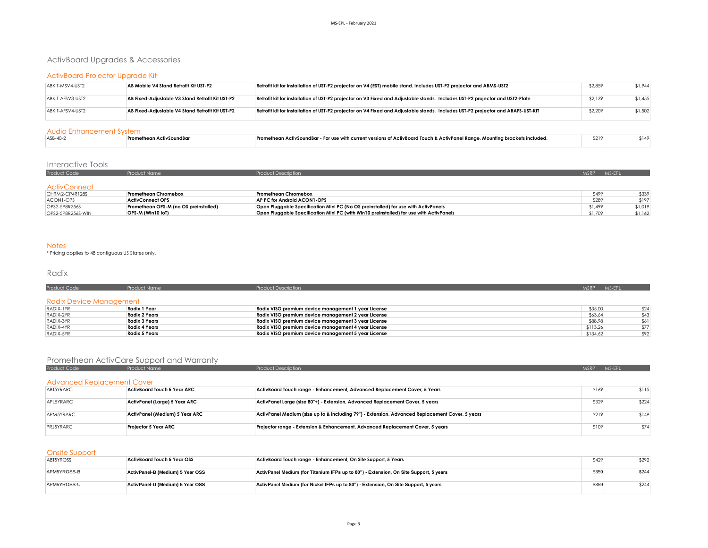# ActivBoard Upgrades & Accessories

### ActivBoard Projector Upgrade Kit

| ABKIT-MSV4-UST2  | AB Mobile V4 Stand Retrofit Kit UST-P2           | Retrofit kit for installation of UST-P2 projector on V4 (EST) mobile stand. Includes UST-P2 projector and ABMS-UST2              | \$2,859 | \$1,944 |
|------------------|--------------------------------------------------|----------------------------------------------------------------------------------------------------------------------------------|---------|---------|
| ABKIT-AFSV3-UST2 | AB Fixed-Adjustable V3 Stand Retrofit Kit UST-P2 | Retrofit kit for installation of UST-P2 projector on V3 Fixed and Adjustable stands. Includes UST-P2 projector and UST2-Plate    | \$2,139 | \$1.455 |
| ABKIT-AFSV4-UST2 | AB Fixed-Adiustable V4 Stand Retrofit Kit UST-P2 | Retrofit kit for installation of UST-P2 projector on V4 Fixed and Adjustable stands. Includes UST-P2 projector and ABAFS-UST-KIT | \$2,209 | \$1,502 |

#### Audio Enhancement System

| $ASB-40-2$ | .n ActivSoundBar | Promethean ActivSoundBar - For use with current versions of ActivBoard Touch & ActivPanel Ranae. Mountina brackets included. | \$219 |  | 14°، |  |  |  |
|------------|------------------|------------------------------------------------------------------------------------------------------------------------------|-------|--|------|--|--|--|
|            |                  |                                                                                                                              |       |  |      |  |  |  |

### Interactive Tools

| Product Code        | <b>Product Name</b>                   | <b>Product Description</b>                                                              | <b>MSRP</b> | MS-EPL  |
|---------------------|---------------------------------------|-----------------------------------------------------------------------------------------|-------------|---------|
|                     |                                       |                                                                                         |             |         |
| <b>ActivConnect</b> |                                       |                                                                                         |             |         |
| CHRM2-CP4R128S      | <b>Promethean Chromebox</b>           | <b>Promethean Chromebox</b>                                                             | \$499       | \$339   |
| ACON1-OPS           | <b>ActivConnect OPS</b>               | AP PC for Android ACON1-OPS                                                             | \$289       | \$197   |
| OPS2-5P8R256S       | Promethean OPS-M (no OS preinstalled) | Open Pluggable Specification Mini PC (No OS preinstalled) for use with ActivPanels      | \$1,499     | \$1,019 |
| OPS2-5P8R256S-WIN   | OPS-M (Win10 IoT)                     | Open Pluggable Specification Mini PC (with Win10 preinstalled) for use with ActivPanels | \$1,709     | \$1.162 |

#### **Notes**

\* Pricing applies to 48 contiguous US States only.

#### Radix

| Product Code            | <b>Product Name</b>  | <b>Product Description</b>                          | MS-EPL<br>MSRP <sup>1</sup> |
|-------------------------|----------------------|-----------------------------------------------------|-----------------------------|
| Radix Device Management |                      |                                                     |                             |
| RADIX-1YR               | Radix 1 Year         | Radix VISO premium device management 1 year License | \$35.00<br>\$24             |
| RADIX-2YR               | <b>Radix 2 Years</b> | Radix VISO premium device management 2 year License | \$63.64<br>\$43             |
| RADIX-3YR               | <b>Radix 3 Years</b> | Radix VISO premium device management 3 year License | \$88.98<br>\$61             |
| RADIX-4YR               | Radix 4 Years        | Radix VISO premium device management 4 year License | \$113.26<br>\$77            |
| RADIX-5YR               | Radix 5 Years        | Radix VISO premium device management 5 year License | \$134.62<br>\$92            |

## Promethean ActivCare Support and Warranty

| Product Code                      | <b>Product Name</b>                | <b>Product Description</b>                                                                      | <b>MSRP</b> | MS-EPL |
|-----------------------------------|------------------------------------|-------------------------------------------------------------------------------------------------|-------------|--------|
| <b>Advanced Replacement Cover</b> |                                    |                                                                                                 |             |        |
| ABT5YRARC                         | <b>ActivBoard Touch 5 Year ARC</b> | ActivBoard Touch range - Enhancement, Advanced Replacement Cover, 5 Years                       | \$169       | \$115  |
| APL5YRARC                         | ActivPanel (Large) 5 Year ARC      | ActivPanel Large (size 80"+) - Extension, Advanced Replacement Cover, 5 years                   | \$329       | \$224  |
| APM5YRARC                         | ActivPanel (Medium) 5 Year ARC     | ActivPanel Medium (size up to & including 79") - Extension, Advanced Replacement Cover, 5 years | \$219       | \$149  |
| PRJ5YRARC                         | <b>Projector 5 Year ARC</b>        | Projector range - Extension & Enhancement, Advanced Replacement Cover, 5 years                  | \$109       | \$74   |

#### Onsite Support

| ABT5YROSS   | ActivBoard Touch 5 Year OSS      | ActivBoard Touch range - Enhancement, On Site Support, 5 Years                        | \$429 | \$292 |
|-------------|----------------------------------|---------------------------------------------------------------------------------------|-------|-------|
| APM5YROSS-B | ActivPanel-B (Medium) 5 Year OSS | ActivPanel Medium (for Titanium IFPs up to 80") - Extension, On Site Support, 5 years | \$359 | \$244 |
| APM5YROSS-U | ActivPanel-U (Medium) 5 Year OSS | ActivPanel Medium (for Nickel IFPs up to 80") - Extension, On Site Support, 5 years   | \$359 | \$244 |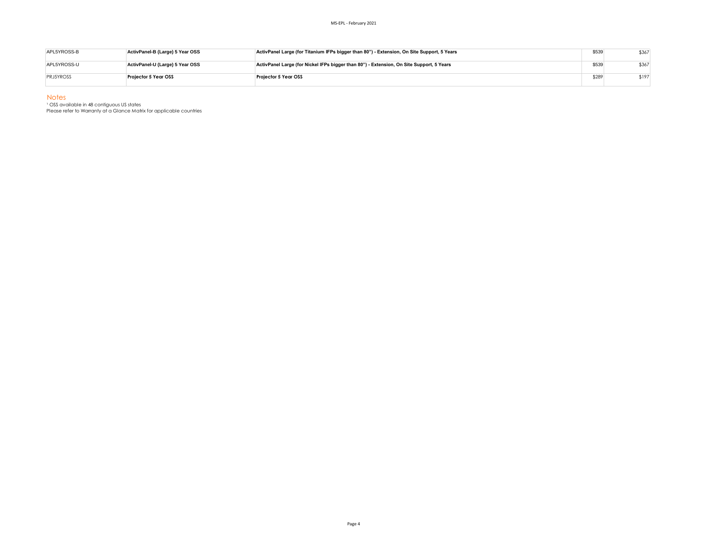| APL5YROSS-B      | ActivPanel-B (Large) 5 Year OSS | ActivPanel Large (for Titanium IFPs bigger than 80") - Extension, On Site Support, 5 Years | \$539 | \$367 |
|------------------|---------------------------------|--------------------------------------------------------------------------------------------|-------|-------|
| APL5YROSS-U      | ActivPanel-U (Large) 5 Year OSS | ActivPanel Large (for Nickel IFPs bigger than 80") - Extension, On Site Support, 5 Years   | \$539 | \$367 |
| <b>PRJ5YROSS</b> | Projector 5 Year OSS            | <b>Projector 5 Year OSS</b>                                                                | \$289 | \$197 |

Notes

<sup>1</sup> OSS available in 48 contiguous US states

Please refer to Warranty at a Glance Matrix for applicable countries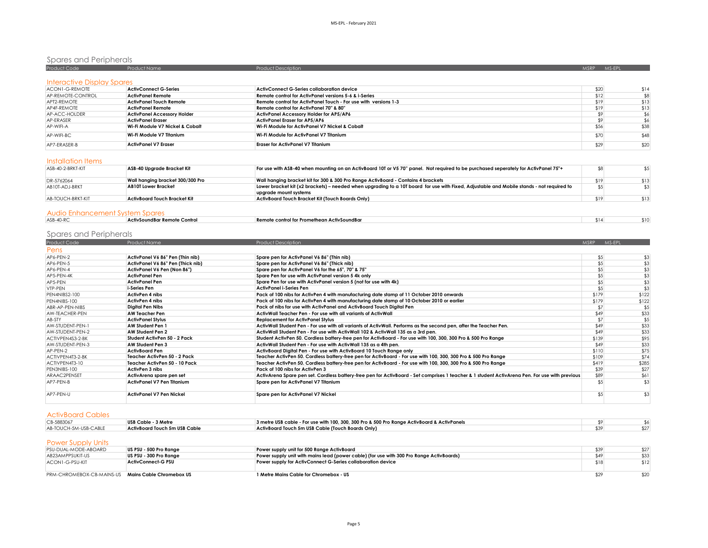# Spares and Peripherals

| Product Code                      | <b>Product Name</b>                | <b>Product Description</b>                                      | <b>MSRP</b> | MS-EPL |
|-----------------------------------|------------------------------------|-----------------------------------------------------------------|-------------|--------|
| <b>Interactive Display Spares</b> |                                    |                                                                 |             |        |
| ACON1-G-REMOTE                    | <b>ActivConnect G-Series</b>       | ActivConnect G-Series collaboration device                      | \$20        | \$14   |
| AP-REMOTE-CONTROL                 | <b>ActivPanel Remote</b>           | Remote control for ActivPanel versions 5-6 & i-Series           | \$12        |        |
| APT2-REMOTE                       | ActivPanel Touch Remote            | Remote control for ActivPanel Touch - For use with versions 1-3 | \$19        | \$13   |
| AP4F-REMOTE                       | <b>ActivPanel Remote</b>           | Remote control for ActivPanel 70" & 80"                         | \$19        | \$13   |
| AP-ACC-HOLDER                     | <b>ActivPanel Accessory Holder</b> | <b>ActivPanel Accessory Holder for AP5/AP6</b>                  |             |        |
| AP-ERASER                         | ActivPanel Eraser                  | ActivPanel Eraser for AP5/AP6                                   | \$9         |        |
| AP-WIFI-A                         | Wi-Fi Module V7 Nickel & Cobalt    | Wi-Fi Module for ActivPanel V7 Nickel & Cobalt                  | \$56        | \$38   |
| AP-WIFI-BC                        | Wi-Fi Module V7 Titanium           | Wi-Fi Module for ActivPanel V7 Titanium                         | \$70        | \$48   |
| AP7-ERASER-B                      | <b>ActivPanel V7 Eraser</b>        | <b>Eraser for ActivPanel V7 Titanium</b>                        | \$29        | \$20   |

### Installation Items

| ASB-40-2-BRKT-KIT | ASB-40 Upgrade Bracket Kit       | For use with ASB-40 when mounting on an ActivBoard 10T or V5 70" panel. Not required to be purchased seperately for ActivPanel 75"+       |      |      |
|-------------------|----------------------------------|-------------------------------------------------------------------------------------------------------------------------------------------|------|------|
| DR-5762064        | Wall hanging bracket 300/300 Pro | Wall hanging bracket kit for 300 & 300 Pro Range ActivBoard - Contains 4 brackets                                                         | \$19 | \$13 |
| AB10T-ADJ-BRKT    | <b>AB10T Lower Bracket</b>       | Lower bracket kit (x2 brackets) – needed when upgrading to a 10T board for use with Fixed, Adjustable and Mobile stands - not required to |      |      |
|                   |                                  | uparade mount systems                                                                                                                     |      |      |
| AB-TOUCH-BRKT-KIT | ActivBoard Touch Bracket Kit     | ActivBoard Touch Bracket Kit (Touch Boards Only)                                                                                          | \$19 | \$13 |
|                   |                                  |                                                                                                                                           |      |      |

### Audio Enhancement System Spares

| $A$ SR <sub>-40-R</sub> | 'ActivSoundBar Remote Control | e control for Promethean ActivSoundBar .<br><b>KAM</b><br>. . |  |  |
|-------------------------|-------------------------------|---------------------------------------------------------------|--|--|
|                         |                               |                                                               |  |  |

# Spares and Peripherals

| Product Code     | <b>Product Name</b>               | <b>Product Description</b>                                                                                                                     | <b>MSRP</b> | MS-EPL |      |
|------------------|-----------------------------------|------------------------------------------------------------------------------------------------------------------------------------------------|-------------|--------|------|
| Pens             |                                   |                                                                                                                                                |             |        |      |
| AP6-PEN-2        | ActivPanel V6 86" Pen (Thin nib)  | Spare pen for ActivPanel V6 86" (Thin nib)                                                                                                     | \$5         |        | \$3  |
| AP6-PEN-5        | ActivPanel V6 86" Pen (Thick nib) | Spare pen for ActivPanel V6 86" (Thick nib)                                                                                                    | \$5         |        | \$3  |
| AP6-PEN-4        | ActivPanel V6 Pen (Non 86")       | Spare pen for ActivPanel V6 for the 65", 70" & 75"                                                                                             | \$5         |        | \$3  |
| AP5-PEN-4K       | <b>ActivPanel Pen</b>             | Spare Pen for use with ActivPanel version 5 4k only                                                                                            | \$5         |        | \$3  |
| AP5-PEN          | <b>ActivPanel Pen</b>             | Spare Pen for use with ActivPanel version 5 (not for use with 4k)                                                                              | \$5         |        | \$3  |
| VTP-PEN          | i-Series Pen                      | <b>ActivPanel i-Series Pen</b>                                                                                                                 | \$5         |        | \$3  |
| PEN4NIBS2-100    | ActivPen 4 nibs                   | Pack of 100 nibs for ActivPen 4 with manufacturing date stamp of 11 October 2010 onwards                                                       | \$179       | \$122  |      |
| PEN4NIBS-100     | ActivPen 4 nibs                   | Pack of 100 nibs for ActivPen 4 with manufacturing date stamp of 10 October 2010 or earlier                                                    | \$179       | \$122  |      |
| ABR-AP-PEN-NIBS  | Digital Pen Nibs                  | Pack of nibs for use with ActivPanel and ActivBoard Touch Digital Pen                                                                          | \$7         |        | \$5  |
| AW-TEACHER-PEN   | AW Teacher Pen                    | ActivWall Teacher Pen - For use with all variants of ActivWall                                                                                 | \$49        |        | \$33 |
| AB-STY           | <b>ActivPanel Stylus</b>          | <b>Replacement for ActivPanel Stylus</b>                                                                                                       | \$7         |        | \$5  |
| AW-STUDENT-PEN-1 | <b>AW Student Pen 1</b>           | ActivWall Student Pen - For use with all variants of ActivWall. Performs as the second pen, after the Teacher Pen.                             | \$49        |        | \$33 |
| AW-STUDENT-PEN-2 | <b>AW Student Pen 2</b>           | ActivWall Student Pen - For use with ActivWall 102 & ActivWall 135 as a 3rd pen.                                                               | \$49        |        | \$33 |
| ACTIVPEN4S3-2-BK | Student ActivPen 50 - 2 Pack      | Student ActivPen 50. Cordless battery-free pen for ActivBoard - For use with 100, 300, 300 Pro & 500 Pro Range                                 | \$139       |        | \$95 |
| AW-STUDENT-PEN-3 | AW Student Pen 3                  | ActivWall Student Pen - For use with ActivWall 135 as a 4th pen.                                                                               | \$49        |        | \$33 |
| AP-PFN-2         | <b>ActivBoard Pen</b>             | ActivBoard Digital Pen - For use with ActivBoard 10 Touch Range only                                                                           | \$110       |        | \$75 |
| ACTIVPEN4T3-2-BK | Teacher ActivPen 50 - 2 Pack      | Teacher ActivPen 50. Cordless battery-free pen for ActivBoard - For use with 100, 300, 300 Pro & 500 Pro Range                                 | \$109       |        | \$74 |
| ACTIVPEN4T3-10   | Teacher ActivPen 50 - 10 Pack     | Teacher ActivPen 50. Cordless battery-free pen for ActivBoard - For use with 100, 300, 300 Pro & 500 Pro Range                                 | \$419       | \$285  |      |
| PEN3NIBS-100     | ActivPen 3 nibs                   | Pack of 100 nibs for ActivPen 3                                                                                                                | \$39        |        | \$27 |
| ARAAC2PENSET     | ActivArena spare pen set          | ActivArena Spare pen set. Cordless battery-free pen for ActivBoard - Set comprises 1 teacher & 1 student ActivArena Pen. For use with previous | \$89        |        | \$61 |
| AP7-PEN-B        | <b>ActivPanel V7 Pen Titanium</b> | Spare pen for ActivPanel V7 Titanium                                                                                                           |             |        | \$3  |
| AP7-PEN-U        | <b>ActivPanel V7 Pen Nickel</b>   | Spare pen for ActivPanel V7 Nickel                                                                                                             | \$5         |        | \$3  |

### ActivBoard Cables

| CB-5883067            | USB Cable - 3 Metre           | 3 metre USB cable - For use with 100, 300, 300 Pro & 500 Pro Range ActivBoard & ActivPanels |  |
|-----------------------|-------------------------------|---------------------------------------------------------------------------------------------|--|
| AB-TOUCH-5M-USB-CABLE | ActivBoard Touch 5m USB Cable | ActivBoard Touch 5m USB Cable (Touch Boards Only)                                           |  |
|                       |                               |                                                                                             |  |

## Power Supply Units

| PSU-DUAL-MODE-ABOARD                               | US PSU - 500 Pro Range    | Power supply unit for 500 Range ActivBoard                                               | \$39 | \$27 |
|----------------------------------------------------|---------------------------|------------------------------------------------------------------------------------------|------|------|
| AB23AMPPSUKIT-US                                   | US PSU - 300 Pro Range    | Power supply unit with mains lead (power cable) (for use with 300 Pro Range ActivBoards) |      | \$33 |
| ACON1-G-PSU-KIT                                    | <b>ActivConnect-G PSU</b> | Power supply for ActivConnect G-Series collaboration device                              |      | \$12 |
|                                                    |                           |                                                                                          |      |      |
| PRM-CHROMEBOX-CB-MAINS-US Mains Cable Chromebox US |                           | 1 Metre Mains Cable for Chromebox - US                                                   |      | \$20 |